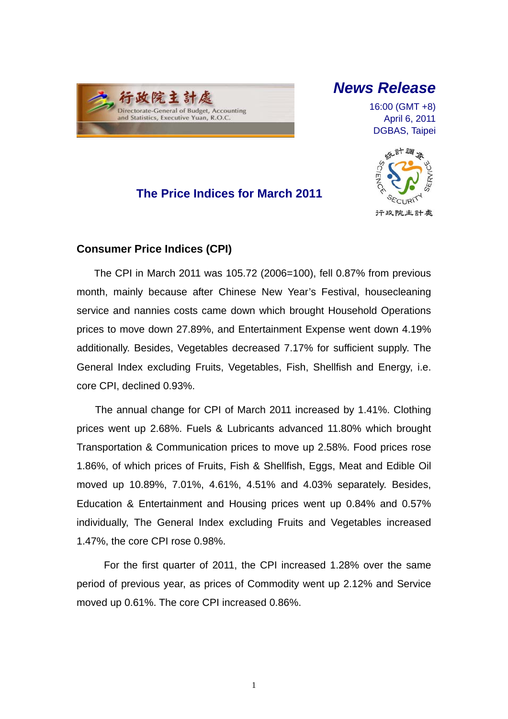

# *News Release*

16:00 (GMT +8) April 6, 2011 DGBAS, Taipei





### **Consumer Price Indices (CPI)**

The CPI in March 2011 was 105.72 (2006=100), fell 0.87% from previous month, mainly because after Chinese New Year's Festival, housecleaning service and nannies costs came down which brought Household Operations prices to move down 27.89%, and Entertainment Expense went down 4.19% additionally. Besides, Vegetables decreased 7.17% for sufficient supply. The General Index excluding Fruits, Vegetables, Fish, Shellfish and Energy, i.e. core CPI, declined 0.93%.

The annual change for CPI of March 2011 increased by 1.41%. Clothing prices went up 2.68%. Fuels & Lubricants advanced 11.80% which brought Transportation & Communication prices to move up 2.58%. Food prices rose 1.86%, of which prices of Fruits, Fish & Shellfish, Eggs, Meat and Edible Oil moved up 10.89%, 7.01%, 4.61%, 4.51% and 4.03% separately. Besides, Education & Entertainment and Housing prices went up 0.84% and 0.57% individually, The General Index excluding Fruits and Vegetables increased 1.47%, the core CPI rose 0.98%.

For the first quarter of 2011, the CPI increased 1.28% over the same period of previous year, as prices of Commodity went up 2.12% and Service moved up 0.61%. The core CPI increased 0.86%.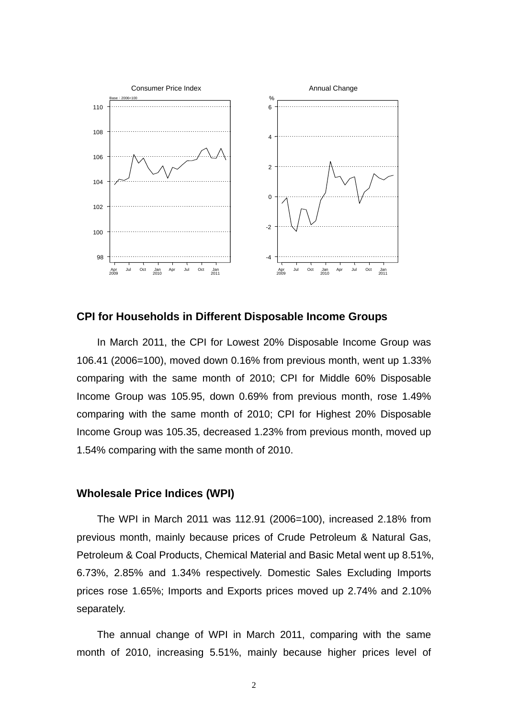

**CPI for Households in Different Disposable Income Groups**

In March 2011, the CPI for Lowest 20% Disposable Income Group was 106.41 (2006=100), moved down 0.16% from previous month, went up 1.33% comparing with the same month of 2010; CPI for Middle 60% Disposable Income Group was 105.95, down 0.69% from previous month, rose 1.49% comparing with the same month of 2010; CPI for Highest 20% Disposable Income Group was 105.35, decreased 1.23% from previous month, moved up 1.54% comparing with the same month of 2010.

### **Wholesale Price Indices (WPI)**

The WPI in March 2011 was 112.91 (2006=100), increased 2.18% from previous month, mainly because prices of Crude Petroleum & Natural Gas, Petroleum & Coal Products, Chemical Material and Basic Metal went up 8.51%, 6.73%, 2.85% and 1.34% respectively. Domestic Sales Excluding Imports prices rose 1.65%; Imports and Exports prices moved up 2.74% and 2.10% separately.

The annual change of WPI in March 2011, comparing with the same month of 2010, increasing 5.51%, mainly because higher prices level of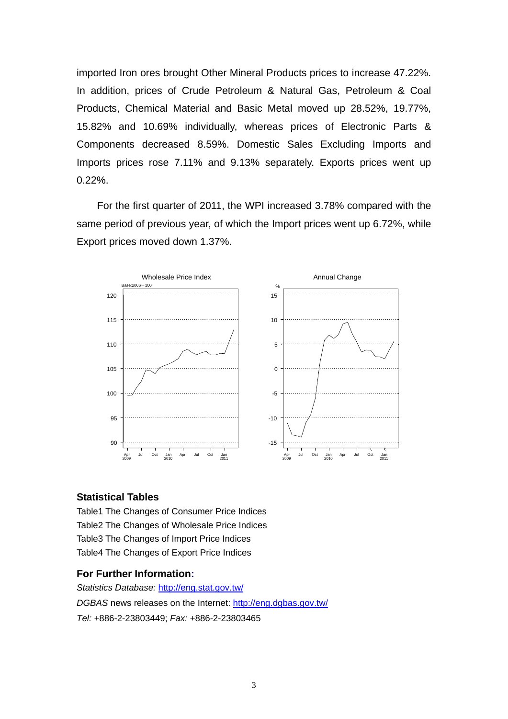imported Iron ores brought Other Mineral Products prices to increase 47.22%. In addition, prices of Crude Petroleum & Natural Gas, Petroleum & Coal Products, Chemical Material and Basic Metal moved up 28.52%, 19.77%, 15.82% and 10.69% individually, whereas prices of Electronic Parts & Components decreased 8.59%. Domestic Sales Excluding Imports and Imports prices rose 7.11% and 9.13% separately. Exports prices went up 0.22%.

For the first quarter of 2011, the WPI increased 3.78% compared with the same period of previous year, of which the Import prices went up 6.72%, while Export prices moved down 1.37%.



#### **Statistical Tables**

Table1 The Changes of Consumer Price Indices Table2 The Changes of Wholesale Price Indices Table3 The Changes of Import Price Indices Table4 The Changes of Export Price Indices

#### **For Further Information:**

*Statistics Database:* http://eng.stat.gov.tw/ *DGBAS* news releases on the Internet: http://eng.dgbas.gov.tw/ *Tel:* +886-2-23803449; *Fax:* +886-2-23803465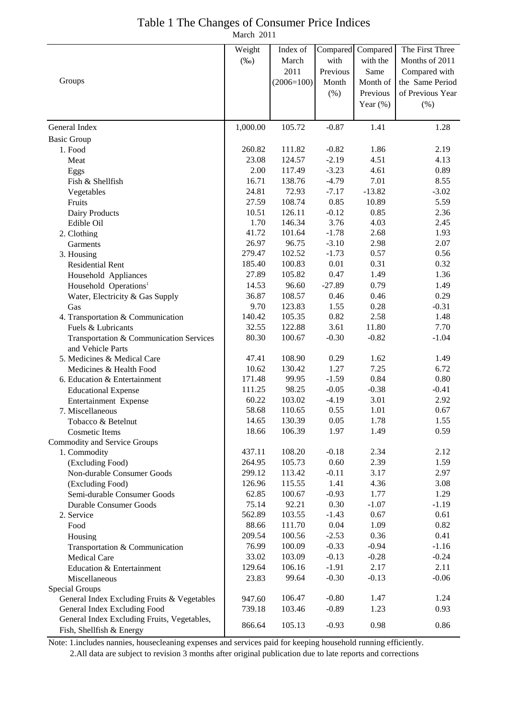| Table 1 The Changes of Consumer Price Indices |  |
|-----------------------------------------------|--|
| March 2011                                    |  |

|                                                                             | Weight   | Index of     |                    | Compared Compared | The First Three  |
|-----------------------------------------------------------------------------|----------|--------------|--------------------|-------------------|------------------|
|                                                                             | $(\%0)$  | March        | with               | with the          | Months of 2011   |
|                                                                             |          | 2011         | Previous           | Same              | Compared with    |
| Groups                                                                      |          | $(2006=100)$ | Month              | Month of          | the Same Period  |
|                                                                             |          |              | (% )               | Previous          | of Previous Year |
|                                                                             |          |              |                    | Year $(\%)$       | (% )             |
|                                                                             |          |              |                    |                   |                  |
| General Index                                                               | 1,000.00 | 105.72       | $-0.87$            | 1.41              | 1.28             |
| <b>Basic Group</b>                                                          |          |              |                    |                   |                  |
| 1. Food                                                                     | 260.82   | 111.82       | $-0.82$            | 1.86              | 2.19             |
| Meat                                                                        | 23.08    | 124.57       | $-2.19$            | 4.51              | 4.13             |
| Eggs                                                                        | 2.00     | 117.49       | $-3.23$            | 4.61              | 0.89             |
| Fish & Shellfish                                                            | 16.71    | 138.76       | $-4.79$            | 7.01              | 8.55             |
| Vegetables                                                                  | 24.81    | 72.93        | $-7.17$            | $-13.82$          | $-3.02$          |
| Fruits                                                                      | 27.59    | 108.74       | 0.85               | 10.89             | 5.59             |
| Dairy Products                                                              | 10.51    | 126.11       | $-0.12$            | 0.85              | 2.36             |
| Edible Oil                                                                  | 1.70     | 146.34       | 3.76               | 4.03              | 2.45             |
| 2. Clothing                                                                 | 41.72    | 101.64       | $-1.78$            | 2.68              | 1.93             |
| Garments                                                                    | 26.97    | 96.75        | $-3.10$            | 2.98              | 2.07             |
| 3. Housing                                                                  | 279.47   | 102.52       | $-1.73$            | 0.57              | 0.56             |
| <b>Residential Rent</b>                                                     | 185.40   | 100.83       | 0.01               | 0.31              | 0.32             |
| Household Appliances                                                        | 27.89    | 105.82       | 0.47               | 1.49              | 1.36             |
| Household Operations <sup>1</sup>                                           | 14.53    | 96.60        | $-27.89$           | 0.79              | 1.49             |
| Water, Electricity & Gas Supply                                             | 36.87    | 108.57       | 0.46               | 0.46              | 0.29             |
| Gas                                                                         | 9.70     | 123.83       | 1.55               | 0.28              | $-0.31$          |
| 4. Transportation & Communication                                           | 140.42   | 105.35       | 0.82               | 2.58              | 1.48             |
| Fuels & Lubricants                                                          | 32.55    | 122.88       | 3.61               | 11.80             | 7.70             |
| Transportation & Communication Services                                     | 80.30    | 100.67       | $-0.30$            | $-0.82$           | $-1.04$          |
| and Vehicle Parts                                                           |          |              |                    |                   |                  |
| 5. Medicines & Medical Care                                                 | 47.41    | 108.90       | 0.29               | 1.62              | 1.49             |
| Medicines & Health Food                                                     | 10.62    | 130.42       | 1.27               | 7.25              | 6.72             |
| 6. Education & Entertainment                                                | 171.48   | 99.95        | $-1.59$            | 0.84              | 0.80             |
| <b>Educational Expense</b>                                                  | 111.25   | 98.25        | $-0.05$            | $-0.38$           | $-0.41$          |
| Entertainment Expense                                                       | 60.22    | 103.02       | $-4.19$            | 3.01              | 2.92             |
| 7. Miscellaneous                                                            | 58.68    | 110.65       | 0.55               | 1.01              | 0.67             |
| Tobacco & Betelnut                                                          | 14.65    | 130.39       | 0.05               | 1.78              | 1.55             |
| <b>Cosmetic Items</b>                                                       | 18.66    | 106.39       | 1.97               | 1.49              | 0.59             |
| Commodity and Service Groups                                                |          |              |                    |                   |                  |
| 1. Commodity                                                                | 437.11   | 108.20       | $-0.18$            | 2.34              | 2.12             |
| (Excluding Food)                                                            | 264.95   | 105.73       | 0.60               | 2.39              | 1.59             |
| Non-durable Consumer Goods                                                  | 299.12   | 113.42       | $-0.11$            | 3.17              | 2.97             |
| (Excluding Food)                                                            | 126.96   | 115.55       | 1.41               | 4.36              | 3.08             |
| Semi-durable Consumer Goods                                                 | 62.85    | 100.67       | $-0.93$            | 1.77              | 1.29             |
| <b>Durable Consumer Goods</b>                                               | 75.14    | 92.21        | 0.30               | $-1.07$           | $-1.19$          |
| 2. Service                                                                  | 562.89   | 103.55       | $-1.43$            | 0.67              | 0.61             |
| Food                                                                        | 88.66    | 111.70       | 0.04               | 1.09              | 0.82             |
| Housing                                                                     | 209.54   | 100.56       | $-2.53$            | 0.36              | 0.41             |
| Transportation & Communication                                              | 76.99    | 100.09       | $-0.33$            | $-0.94$           | $-1.16$          |
| <b>Medical Care</b>                                                         | 33.02    | 103.09       | $-0.13$            | $-0.28$           | $-0.24$          |
| Education & Entertainment                                                   | 129.64   | 106.16       | $-1.91$            | 2.17              | 2.11             |
| Miscellaneous                                                               | 23.83    | 99.64        | $-0.30$            | $-0.13$           | $-0.06$          |
| Special Groups                                                              |          |              |                    |                   |                  |
| General Index Excluding Fruits & Vegetables                                 | 947.60   | 106.47       | $-0.80$<br>$-0.89$ | 1.47              | 1.24             |
| General Index Excluding Food<br>General Index Excluding Fruits, Vegetables, | 739.18   | 103.46       |                    | 1.23              | 0.93             |
| Fish, Shellfish & Energy                                                    | 866.64   | 105.13       | $-0.93$            | 0.98              | 0.86             |

Note: 1.includes nannies, housecleaning expenses and services paid for keeping household running efficiently. 2.All data are subject to revision 3 months after original publication due to late reports and corrections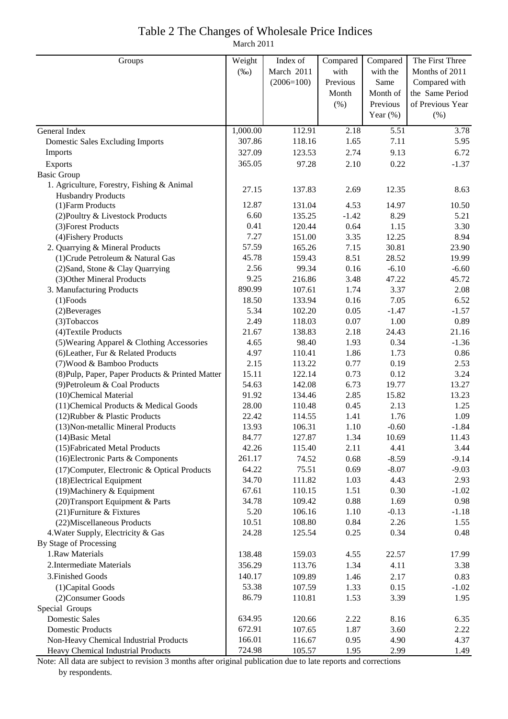### Table 2 The Changes of Wholesale Price Indices

March 2011

| March 2011<br>$(\%0)$<br>with<br>with the<br>Months of 2011<br>$(2006=100)$<br>Previous<br>Same<br>Compared with<br>Month of<br>the Same Period<br>Month<br>of Previous Year<br>(%)<br>Previous<br>Year $(\%)$<br>(% )<br>3.78<br>1,000.00<br>112.91<br>2.18<br>5.51<br>General Index<br>307.86<br>118.16<br>1.65<br>7.11<br>5.95<br><b>Domestic Sales Excluding Imports</b><br>2.74<br>Imports<br>327.09<br>123.53<br>9.13<br>6.72<br>2.10<br>0.22<br>365.05<br>97.28<br>$-1.37$<br>Exports<br><b>Basic Group</b><br>1. Agriculture, Forestry, Fishing & Animal<br>27.15<br>137.83<br>12.35<br>2.69<br>8.63<br><b>Husbandry Products</b><br>12.87<br>4.53<br>14.97<br>10.50<br>(1) Farm Products<br>131.04<br>6.60<br>8.29<br>135.25<br>$-1.42$<br>5.21<br>(2) Poultry & Livestock Products<br>0.41<br>1.15<br>(3) Forest Products<br>120.44<br>0.64<br>3.30<br>7.27<br>12.25<br>(4) Fishery Products<br>151.00<br>3.35<br>8.94<br>57.59<br>30.81<br>2. Quarrying & Mineral Products<br>165.26<br>7.15<br>23.90<br>45.78<br>8.51<br>(1) Crude Petroleum & Natural Gas<br>159.43<br>28.52<br>19.99<br>2.56<br>99.34<br>0.16<br>$-6.10$<br>(2) Sand, Stone & Clay Quarrying<br>$-6.60$<br>9.25<br>3.48<br>47.22<br>45.72<br>(3) Other Mineral Products<br>216.86<br>890.99<br>3.37<br>3. Manufacturing Products<br>107.61<br>1.74<br>2.08<br>18.50<br>7.05<br>133.94<br>0.16<br>6.52<br>$(1)$ Foods<br>5.34<br>0.05<br>$-1.47$<br>102.20<br>$-1.57$<br>(2) Beverages<br>2.49<br>118.03<br>0.07<br>1.00<br>0.89<br>(3) Tobaccos<br>21.67<br>2.18<br>(4) Textile Products<br>138.83<br>24.43<br>21.16<br>4.65<br>98.40<br>0.34<br>(5) Wearing Apparel & Clothing Accessories<br>1.93<br>$-1.36$<br>4.97<br>1.86<br>1.73<br>(6) Leather, Fur & Related Products<br>110.41<br>0.86<br>0.77<br>2.15<br>113.22<br>0.19<br>2.53<br>(7) Wood & Bamboo Products<br>15.11<br>122.14<br>0.73<br>0.12<br>3.24<br>(8) Pulp, Paper, Paper Products & Printed Matter<br>6.73<br>54.63<br>142.08<br>19.77<br>13.27<br>(9) Petroleum & Coal Products<br>2.85<br>91.92<br>134.46<br>15.82<br>13.23<br>(10)Chemical Material<br>28.00<br>110.48<br>0.45<br>2.13<br>1.25<br>(11) Chemical Products & Medical Goods<br>1.76<br>22.42<br>114.55<br>1.41<br>1.09<br>(12) Rubber & Plastic Products<br>13.93<br>$-0.60$<br>106.31<br>1.10<br>$-1.84$<br>(13) Non-metallic Mineral Products<br>84.77<br>127.87<br>1.34<br>10.69<br>11.43<br>$(14)$ Basic Metal<br>(15) Fabricated Metal Products<br>42.26<br>115.40<br>2.11<br>4.41<br>3.44<br>(16) Electronic Parts & Components<br>261.17<br>74.52<br>0.68<br>$-8.59$<br>$-9.14$<br>64.22<br>0.69<br>$-8.07$<br>$-9.03$<br>(17) Computer, Electronic & Optical Products<br>75.51<br>(18) Electrical Equipment<br>1.03<br>4.43<br>34.70<br>111.82<br>2.93<br>(19) Machinery & Equipment<br>1.51<br>0.30<br>67.61<br>110.15<br>$-1.02$<br>(20) Transport Equipment & Parts<br>34.78<br>0.88<br>1.69<br>109.42<br>0.98<br>5.20<br>1.10<br>$-0.13$<br>(21) Furniture & Fixtures<br>106.16<br>$-1.18$<br>10.51<br>108.80<br>0.84<br>2.26<br>(22) Miscellaneous Products<br>1.55<br>0.34<br>4. Water Supply, Electricity & Gas<br>24.28<br>125.54<br>0.25<br>0.48<br>By Stage of Processing<br>1.Raw Materials<br>138.48<br>159.03<br>4.55<br>22.57<br>17.99<br>2. Intermediate Materials<br>356.29<br>113.76<br>4.11<br>1.34<br>3.38 | Groups | Weight | Index of | Compared | Compared | The First Three |
|---------------------------------------------------------------------------------------------------------------------------------------------------------------------------------------------------------------------------------------------------------------------------------------------------------------------------------------------------------------------------------------------------------------------------------------------------------------------------------------------------------------------------------------------------------------------------------------------------------------------------------------------------------------------------------------------------------------------------------------------------------------------------------------------------------------------------------------------------------------------------------------------------------------------------------------------------------------------------------------------------------------------------------------------------------------------------------------------------------------------------------------------------------------------------------------------------------------------------------------------------------------------------------------------------------------------------------------------------------------------------------------------------------------------------------------------------------------------------------------------------------------------------------------------------------------------------------------------------------------------------------------------------------------------------------------------------------------------------------------------------------------------------------------------------------------------------------------------------------------------------------------------------------------------------------------------------------------------------------------------------------------------------------------------------------------------------------------------------------------------------------------------------------------------------------------------------------------------------------------------------------------------------------------------------------------------------------------------------------------------------------------------------------------------------------------------------------------------------------------------------------------------------------------------------------------------------------------------------------------------------------------------------------------------------------------------------------------------------------------------------------------------------------------------------------------------------------------------------------------------------------------------------------------------------------------------------------------------------------------------------------------------------------------------------------------------------------------------------------------------------------------------------------------------------------------------------------------------------------------------------------------------------------------------------------------------------------------------------------|--------|--------|----------|----------|----------|-----------------|
|                                                                                                                                                                                                                                                                                                                                                                                                                                                                                                                                                                                                                                                                                                                                                                                                                                                                                                                                                                                                                                                                                                                                                                                                                                                                                                                                                                                                                                                                                                                                                                                                                                                                                                                                                                                                                                                                                                                                                                                                                                                                                                                                                                                                                                                                                                                                                                                                                                                                                                                                                                                                                                                                                                                                                                                                                                                                                                                                                                                                                                                                                                                                                                                                                                                                                                                                                         |        |        |          |          |          |                 |
|                                                                                                                                                                                                                                                                                                                                                                                                                                                                                                                                                                                                                                                                                                                                                                                                                                                                                                                                                                                                                                                                                                                                                                                                                                                                                                                                                                                                                                                                                                                                                                                                                                                                                                                                                                                                                                                                                                                                                                                                                                                                                                                                                                                                                                                                                                                                                                                                                                                                                                                                                                                                                                                                                                                                                                                                                                                                                                                                                                                                                                                                                                                                                                                                                                                                                                                                                         |        |        |          |          |          |                 |
|                                                                                                                                                                                                                                                                                                                                                                                                                                                                                                                                                                                                                                                                                                                                                                                                                                                                                                                                                                                                                                                                                                                                                                                                                                                                                                                                                                                                                                                                                                                                                                                                                                                                                                                                                                                                                                                                                                                                                                                                                                                                                                                                                                                                                                                                                                                                                                                                                                                                                                                                                                                                                                                                                                                                                                                                                                                                                                                                                                                                                                                                                                                                                                                                                                                                                                                                                         |        |        |          |          |          |                 |
|                                                                                                                                                                                                                                                                                                                                                                                                                                                                                                                                                                                                                                                                                                                                                                                                                                                                                                                                                                                                                                                                                                                                                                                                                                                                                                                                                                                                                                                                                                                                                                                                                                                                                                                                                                                                                                                                                                                                                                                                                                                                                                                                                                                                                                                                                                                                                                                                                                                                                                                                                                                                                                                                                                                                                                                                                                                                                                                                                                                                                                                                                                                                                                                                                                                                                                                                                         |        |        |          |          |          |                 |
|                                                                                                                                                                                                                                                                                                                                                                                                                                                                                                                                                                                                                                                                                                                                                                                                                                                                                                                                                                                                                                                                                                                                                                                                                                                                                                                                                                                                                                                                                                                                                                                                                                                                                                                                                                                                                                                                                                                                                                                                                                                                                                                                                                                                                                                                                                                                                                                                                                                                                                                                                                                                                                                                                                                                                                                                                                                                                                                                                                                                                                                                                                                                                                                                                                                                                                                                                         |        |        |          |          |          |                 |
|                                                                                                                                                                                                                                                                                                                                                                                                                                                                                                                                                                                                                                                                                                                                                                                                                                                                                                                                                                                                                                                                                                                                                                                                                                                                                                                                                                                                                                                                                                                                                                                                                                                                                                                                                                                                                                                                                                                                                                                                                                                                                                                                                                                                                                                                                                                                                                                                                                                                                                                                                                                                                                                                                                                                                                                                                                                                                                                                                                                                                                                                                                                                                                                                                                                                                                                                                         |        |        |          |          |          |                 |
|                                                                                                                                                                                                                                                                                                                                                                                                                                                                                                                                                                                                                                                                                                                                                                                                                                                                                                                                                                                                                                                                                                                                                                                                                                                                                                                                                                                                                                                                                                                                                                                                                                                                                                                                                                                                                                                                                                                                                                                                                                                                                                                                                                                                                                                                                                                                                                                                                                                                                                                                                                                                                                                                                                                                                                                                                                                                                                                                                                                                                                                                                                                                                                                                                                                                                                                                                         |        |        |          |          |          |                 |
|                                                                                                                                                                                                                                                                                                                                                                                                                                                                                                                                                                                                                                                                                                                                                                                                                                                                                                                                                                                                                                                                                                                                                                                                                                                                                                                                                                                                                                                                                                                                                                                                                                                                                                                                                                                                                                                                                                                                                                                                                                                                                                                                                                                                                                                                                                                                                                                                                                                                                                                                                                                                                                                                                                                                                                                                                                                                                                                                                                                                                                                                                                                                                                                                                                                                                                                                                         |        |        |          |          |          |                 |
|                                                                                                                                                                                                                                                                                                                                                                                                                                                                                                                                                                                                                                                                                                                                                                                                                                                                                                                                                                                                                                                                                                                                                                                                                                                                                                                                                                                                                                                                                                                                                                                                                                                                                                                                                                                                                                                                                                                                                                                                                                                                                                                                                                                                                                                                                                                                                                                                                                                                                                                                                                                                                                                                                                                                                                                                                                                                                                                                                                                                                                                                                                                                                                                                                                                                                                                                                         |        |        |          |          |          |                 |
|                                                                                                                                                                                                                                                                                                                                                                                                                                                                                                                                                                                                                                                                                                                                                                                                                                                                                                                                                                                                                                                                                                                                                                                                                                                                                                                                                                                                                                                                                                                                                                                                                                                                                                                                                                                                                                                                                                                                                                                                                                                                                                                                                                                                                                                                                                                                                                                                                                                                                                                                                                                                                                                                                                                                                                                                                                                                                                                                                                                                                                                                                                                                                                                                                                                                                                                                                         |        |        |          |          |          |                 |
|                                                                                                                                                                                                                                                                                                                                                                                                                                                                                                                                                                                                                                                                                                                                                                                                                                                                                                                                                                                                                                                                                                                                                                                                                                                                                                                                                                                                                                                                                                                                                                                                                                                                                                                                                                                                                                                                                                                                                                                                                                                                                                                                                                                                                                                                                                                                                                                                                                                                                                                                                                                                                                                                                                                                                                                                                                                                                                                                                                                                                                                                                                                                                                                                                                                                                                                                                         |        |        |          |          |          |                 |
|                                                                                                                                                                                                                                                                                                                                                                                                                                                                                                                                                                                                                                                                                                                                                                                                                                                                                                                                                                                                                                                                                                                                                                                                                                                                                                                                                                                                                                                                                                                                                                                                                                                                                                                                                                                                                                                                                                                                                                                                                                                                                                                                                                                                                                                                                                                                                                                                                                                                                                                                                                                                                                                                                                                                                                                                                                                                                                                                                                                                                                                                                                                                                                                                                                                                                                                                                         |        |        |          |          |          |                 |
|                                                                                                                                                                                                                                                                                                                                                                                                                                                                                                                                                                                                                                                                                                                                                                                                                                                                                                                                                                                                                                                                                                                                                                                                                                                                                                                                                                                                                                                                                                                                                                                                                                                                                                                                                                                                                                                                                                                                                                                                                                                                                                                                                                                                                                                                                                                                                                                                                                                                                                                                                                                                                                                                                                                                                                                                                                                                                                                                                                                                                                                                                                                                                                                                                                                                                                                                                         |        |        |          |          |          |                 |
|                                                                                                                                                                                                                                                                                                                                                                                                                                                                                                                                                                                                                                                                                                                                                                                                                                                                                                                                                                                                                                                                                                                                                                                                                                                                                                                                                                                                                                                                                                                                                                                                                                                                                                                                                                                                                                                                                                                                                                                                                                                                                                                                                                                                                                                                                                                                                                                                                                                                                                                                                                                                                                                                                                                                                                                                                                                                                                                                                                                                                                                                                                                                                                                                                                                                                                                                                         |        |        |          |          |          |                 |
|                                                                                                                                                                                                                                                                                                                                                                                                                                                                                                                                                                                                                                                                                                                                                                                                                                                                                                                                                                                                                                                                                                                                                                                                                                                                                                                                                                                                                                                                                                                                                                                                                                                                                                                                                                                                                                                                                                                                                                                                                                                                                                                                                                                                                                                                                                                                                                                                                                                                                                                                                                                                                                                                                                                                                                                                                                                                                                                                                                                                                                                                                                                                                                                                                                                                                                                                                         |        |        |          |          |          |                 |
|                                                                                                                                                                                                                                                                                                                                                                                                                                                                                                                                                                                                                                                                                                                                                                                                                                                                                                                                                                                                                                                                                                                                                                                                                                                                                                                                                                                                                                                                                                                                                                                                                                                                                                                                                                                                                                                                                                                                                                                                                                                                                                                                                                                                                                                                                                                                                                                                                                                                                                                                                                                                                                                                                                                                                                                                                                                                                                                                                                                                                                                                                                                                                                                                                                                                                                                                                         |        |        |          |          |          |                 |
|                                                                                                                                                                                                                                                                                                                                                                                                                                                                                                                                                                                                                                                                                                                                                                                                                                                                                                                                                                                                                                                                                                                                                                                                                                                                                                                                                                                                                                                                                                                                                                                                                                                                                                                                                                                                                                                                                                                                                                                                                                                                                                                                                                                                                                                                                                                                                                                                                                                                                                                                                                                                                                                                                                                                                                                                                                                                                                                                                                                                                                                                                                                                                                                                                                                                                                                                                         |        |        |          |          |          |                 |
|                                                                                                                                                                                                                                                                                                                                                                                                                                                                                                                                                                                                                                                                                                                                                                                                                                                                                                                                                                                                                                                                                                                                                                                                                                                                                                                                                                                                                                                                                                                                                                                                                                                                                                                                                                                                                                                                                                                                                                                                                                                                                                                                                                                                                                                                                                                                                                                                                                                                                                                                                                                                                                                                                                                                                                                                                                                                                                                                                                                                                                                                                                                                                                                                                                                                                                                                                         |        |        |          |          |          |                 |
|                                                                                                                                                                                                                                                                                                                                                                                                                                                                                                                                                                                                                                                                                                                                                                                                                                                                                                                                                                                                                                                                                                                                                                                                                                                                                                                                                                                                                                                                                                                                                                                                                                                                                                                                                                                                                                                                                                                                                                                                                                                                                                                                                                                                                                                                                                                                                                                                                                                                                                                                                                                                                                                                                                                                                                                                                                                                                                                                                                                                                                                                                                                                                                                                                                                                                                                                                         |        |        |          |          |          |                 |
|                                                                                                                                                                                                                                                                                                                                                                                                                                                                                                                                                                                                                                                                                                                                                                                                                                                                                                                                                                                                                                                                                                                                                                                                                                                                                                                                                                                                                                                                                                                                                                                                                                                                                                                                                                                                                                                                                                                                                                                                                                                                                                                                                                                                                                                                                                                                                                                                                                                                                                                                                                                                                                                                                                                                                                                                                                                                                                                                                                                                                                                                                                                                                                                                                                                                                                                                                         |        |        |          |          |          |                 |
|                                                                                                                                                                                                                                                                                                                                                                                                                                                                                                                                                                                                                                                                                                                                                                                                                                                                                                                                                                                                                                                                                                                                                                                                                                                                                                                                                                                                                                                                                                                                                                                                                                                                                                                                                                                                                                                                                                                                                                                                                                                                                                                                                                                                                                                                                                                                                                                                                                                                                                                                                                                                                                                                                                                                                                                                                                                                                                                                                                                                                                                                                                                                                                                                                                                                                                                                                         |        |        |          |          |          |                 |
|                                                                                                                                                                                                                                                                                                                                                                                                                                                                                                                                                                                                                                                                                                                                                                                                                                                                                                                                                                                                                                                                                                                                                                                                                                                                                                                                                                                                                                                                                                                                                                                                                                                                                                                                                                                                                                                                                                                                                                                                                                                                                                                                                                                                                                                                                                                                                                                                                                                                                                                                                                                                                                                                                                                                                                                                                                                                                                                                                                                                                                                                                                                                                                                                                                                                                                                                                         |        |        |          |          |          |                 |
|                                                                                                                                                                                                                                                                                                                                                                                                                                                                                                                                                                                                                                                                                                                                                                                                                                                                                                                                                                                                                                                                                                                                                                                                                                                                                                                                                                                                                                                                                                                                                                                                                                                                                                                                                                                                                                                                                                                                                                                                                                                                                                                                                                                                                                                                                                                                                                                                                                                                                                                                                                                                                                                                                                                                                                                                                                                                                                                                                                                                                                                                                                                                                                                                                                                                                                                                                         |        |        |          |          |          |                 |
|                                                                                                                                                                                                                                                                                                                                                                                                                                                                                                                                                                                                                                                                                                                                                                                                                                                                                                                                                                                                                                                                                                                                                                                                                                                                                                                                                                                                                                                                                                                                                                                                                                                                                                                                                                                                                                                                                                                                                                                                                                                                                                                                                                                                                                                                                                                                                                                                                                                                                                                                                                                                                                                                                                                                                                                                                                                                                                                                                                                                                                                                                                                                                                                                                                                                                                                                                         |        |        |          |          |          |                 |
|                                                                                                                                                                                                                                                                                                                                                                                                                                                                                                                                                                                                                                                                                                                                                                                                                                                                                                                                                                                                                                                                                                                                                                                                                                                                                                                                                                                                                                                                                                                                                                                                                                                                                                                                                                                                                                                                                                                                                                                                                                                                                                                                                                                                                                                                                                                                                                                                                                                                                                                                                                                                                                                                                                                                                                                                                                                                                                                                                                                                                                                                                                                                                                                                                                                                                                                                                         |        |        |          |          |          |                 |
|                                                                                                                                                                                                                                                                                                                                                                                                                                                                                                                                                                                                                                                                                                                                                                                                                                                                                                                                                                                                                                                                                                                                                                                                                                                                                                                                                                                                                                                                                                                                                                                                                                                                                                                                                                                                                                                                                                                                                                                                                                                                                                                                                                                                                                                                                                                                                                                                                                                                                                                                                                                                                                                                                                                                                                                                                                                                                                                                                                                                                                                                                                                                                                                                                                                                                                                                                         |        |        |          |          |          |                 |
|                                                                                                                                                                                                                                                                                                                                                                                                                                                                                                                                                                                                                                                                                                                                                                                                                                                                                                                                                                                                                                                                                                                                                                                                                                                                                                                                                                                                                                                                                                                                                                                                                                                                                                                                                                                                                                                                                                                                                                                                                                                                                                                                                                                                                                                                                                                                                                                                                                                                                                                                                                                                                                                                                                                                                                                                                                                                                                                                                                                                                                                                                                                                                                                                                                                                                                                                                         |        |        |          |          |          |                 |
|                                                                                                                                                                                                                                                                                                                                                                                                                                                                                                                                                                                                                                                                                                                                                                                                                                                                                                                                                                                                                                                                                                                                                                                                                                                                                                                                                                                                                                                                                                                                                                                                                                                                                                                                                                                                                                                                                                                                                                                                                                                                                                                                                                                                                                                                                                                                                                                                                                                                                                                                                                                                                                                                                                                                                                                                                                                                                                                                                                                                                                                                                                                                                                                                                                                                                                                                                         |        |        |          |          |          |                 |
|                                                                                                                                                                                                                                                                                                                                                                                                                                                                                                                                                                                                                                                                                                                                                                                                                                                                                                                                                                                                                                                                                                                                                                                                                                                                                                                                                                                                                                                                                                                                                                                                                                                                                                                                                                                                                                                                                                                                                                                                                                                                                                                                                                                                                                                                                                                                                                                                                                                                                                                                                                                                                                                                                                                                                                                                                                                                                                                                                                                                                                                                                                                                                                                                                                                                                                                                                         |        |        |          |          |          |                 |
|                                                                                                                                                                                                                                                                                                                                                                                                                                                                                                                                                                                                                                                                                                                                                                                                                                                                                                                                                                                                                                                                                                                                                                                                                                                                                                                                                                                                                                                                                                                                                                                                                                                                                                                                                                                                                                                                                                                                                                                                                                                                                                                                                                                                                                                                                                                                                                                                                                                                                                                                                                                                                                                                                                                                                                                                                                                                                                                                                                                                                                                                                                                                                                                                                                                                                                                                                         |        |        |          |          |          |                 |
|                                                                                                                                                                                                                                                                                                                                                                                                                                                                                                                                                                                                                                                                                                                                                                                                                                                                                                                                                                                                                                                                                                                                                                                                                                                                                                                                                                                                                                                                                                                                                                                                                                                                                                                                                                                                                                                                                                                                                                                                                                                                                                                                                                                                                                                                                                                                                                                                                                                                                                                                                                                                                                                                                                                                                                                                                                                                                                                                                                                                                                                                                                                                                                                                                                                                                                                                                         |        |        |          |          |          |                 |
|                                                                                                                                                                                                                                                                                                                                                                                                                                                                                                                                                                                                                                                                                                                                                                                                                                                                                                                                                                                                                                                                                                                                                                                                                                                                                                                                                                                                                                                                                                                                                                                                                                                                                                                                                                                                                                                                                                                                                                                                                                                                                                                                                                                                                                                                                                                                                                                                                                                                                                                                                                                                                                                                                                                                                                                                                                                                                                                                                                                                                                                                                                                                                                                                                                                                                                                                                         |        |        |          |          |          |                 |
|                                                                                                                                                                                                                                                                                                                                                                                                                                                                                                                                                                                                                                                                                                                                                                                                                                                                                                                                                                                                                                                                                                                                                                                                                                                                                                                                                                                                                                                                                                                                                                                                                                                                                                                                                                                                                                                                                                                                                                                                                                                                                                                                                                                                                                                                                                                                                                                                                                                                                                                                                                                                                                                                                                                                                                                                                                                                                                                                                                                                                                                                                                                                                                                                                                                                                                                                                         |        |        |          |          |          |                 |
|                                                                                                                                                                                                                                                                                                                                                                                                                                                                                                                                                                                                                                                                                                                                                                                                                                                                                                                                                                                                                                                                                                                                                                                                                                                                                                                                                                                                                                                                                                                                                                                                                                                                                                                                                                                                                                                                                                                                                                                                                                                                                                                                                                                                                                                                                                                                                                                                                                                                                                                                                                                                                                                                                                                                                                                                                                                                                                                                                                                                                                                                                                                                                                                                                                                                                                                                                         |        |        |          |          |          |                 |
|                                                                                                                                                                                                                                                                                                                                                                                                                                                                                                                                                                                                                                                                                                                                                                                                                                                                                                                                                                                                                                                                                                                                                                                                                                                                                                                                                                                                                                                                                                                                                                                                                                                                                                                                                                                                                                                                                                                                                                                                                                                                                                                                                                                                                                                                                                                                                                                                                                                                                                                                                                                                                                                                                                                                                                                                                                                                                                                                                                                                                                                                                                                                                                                                                                                                                                                                                         |        |        |          |          |          |                 |
|                                                                                                                                                                                                                                                                                                                                                                                                                                                                                                                                                                                                                                                                                                                                                                                                                                                                                                                                                                                                                                                                                                                                                                                                                                                                                                                                                                                                                                                                                                                                                                                                                                                                                                                                                                                                                                                                                                                                                                                                                                                                                                                                                                                                                                                                                                                                                                                                                                                                                                                                                                                                                                                                                                                                                                                                                                                                                                                                                                                                                                                                                                                                                                                                                                                                                                                                                         |        |        |          |          |          |                 |
|                                                                                                                                                                                                                                                                                                                                                                                                                                                                                                                                                                                                                                                                                                                                                                                                                                                                                                                                                                                                                                                                                                                                                                                                                                                                                                                                                                                                                                                                                                                                                                                                                                                                                                                                                                                                                                                                                                                                                                                                                                                                                                                                                                                                                                                                                                                                                                                                                                                                                                                                                                                                                                                                                                                                                                                                                                                                                                                                                                                                                                                                                                                                                                                                                                                                                                                                                         |        |        |          |          |          |                 |
|                                                                                                                                                                                                                                                                                                                                                                                                                                                                                                                                                                                                                                                                                                                                                                                                                                                                                                                                                                                                                                                                                                                                                                                                                                                                                                                                                                                                                                                                                                                                                                                                                                                                                                                                                                                                                                                                                                                                                                                                                                                                                                                                                                                                                                                                                                                                                                                                                                                                                                                                                                                                                                                                                                                                                                                                                                                                                                                                                                                                                                                                                                                                                                                                                                                                                                                                                         |        |        |          |          |          |                 |
|                                                                                                                                                                                                                                                                                                                                                                                                                                                                                                                                                                                                                                                                                                                                                                                                                                                                                                                                                                                                                                                                                                                                                                                                                                                                                                                                                                                                                                                                                                                                                                                                                                                                                                                                                                                                                                                                                                                                                                                                                                                                                                                                                                                                                                                                                                                                                                                                                                                                                                                                                                                                                                                                                                                                                                                                                                                                                                                                                                                                                                                                                                                                                                                                                                                                                                                                                         |        |        |          |          |          |                 |
|                                                                                                                                                                                                                                                                                                                                                                                                                                                                                                                                                                                                                                                                                                                                                                                                                                                                                                                                                                                                                                                                                                                                                                                                                                                                                                                                                                                                                                                                                                                                                                                                                                                                                                                                                                                                                                                                                                                                                                                                                                                                                                                                                                                                                                                                                                                                                                                                                                                                                                                                                                                                                                                                                                                                                                                                                                                                                                                                                                                                                                                                                                                                                                                                                                                                                                                                                         |        |        |          |          |          |                 |
|                                                                                                                                                                                                                                                                                                                                                                                                                                                                                                                                                                                                                                                                                                                                                                                                                                                                                                                                                                                                                                                                                                                                                                                                                                                                                                                                                                                                                                                                                                                                                                                                                                                                                                                                                                                                                                                                                                                                                                                                                                                                                                                                                                                                                                                                                                                                                                                                                                                                                                                                                                                                                                                                                                                                                                                                                                                                                                                                                                                                                                                                                                                                                                                                                                                                                                                                                         |        |        |          |          |          |                 |
|                                                                                                                                                                                                                                                                                                                                                                                                                                                                                                                                                                                                                                                                                                                                                                                                                                                                                                                                                                                                                                                                                                                                                                                                                                                                                                                                                                                                                                                                                                                                                                                                                                                                                                                                                                                                                                                                                                                                                                                                                                                                                                                                                                                                                                                                                                                                                                                                                                                                                                                                                                                                                                                                                                                                                                                                                                                                                                                                                                                                                                                                                                                                                                                                                                                                                                                                                         |        |        |          |          |          |                 |
|                                                                                                                                                                                                                                                                                                                                                                                                                                                                                                                                                                                                                                                                                                                                                                                                                                                                                                                                                                                                                                                                                                                                                                                                                                                                                                                                                                                                                                                                                                                                                                                                                                                                                                                                                                                                                                                                                                                                                                                                                                                                                                                                                                                                                                                                                                                                                                                                                                                                                                                                                                                                                                                                                                                                                                                                                                                                                                                                                                                                                                                                                                                                                                                                                                                                                                                                                         |        |        |          |          |          |                 |
|                                                                                                                                                                                                                                                                                                                                                                                                                                                                                                                                                                                                                                                                                                                                                                                                                                                                                                                                                                                                                                                                                                                                                                                                                                                                                                                                                                                                                                                                                                                                                                                                                                                                                                                                                                                                                                                                                                                                                                                                                                                                                                                                                                                                                                                                                                                                                                                                                                                                                                                                                                                                                                                                                                                                                                                                                                                                                                                                                                                                                                                                                                                                                                                                                                                                                                                                                         |        |        |          |          |          |                 |
|                                                                                                                                                                                                                                                                                                                                                                                                                                                                                                                                                                                                                                                                                                                                                                                                                                                                                                                                                                                                                                                                                                                                                                                                                                                                                                                                                                                                                                                                                                                                                                                                                                                                                                                                                                                                                                                                                                                                                                                                                                                                                                                                                                                                                                                                                                                                                                                                                                                                                                                                                                                                                                                                                                                                                                                                                                                                                                                                                                                                                                                                                                                                                                                                                                                                                                                                                         |        |        |          |          |          |                 |
|                                                                                                                                                                                                                                                                                                                                                                                                                                                                                                                                                                                                                                                                                                                                                                                                                                                                                                                                                                                                                                                                                                                                                                                                                                                                                                                                                                                                                                                                                                                                                                                                                                                                                                                                                                                                                                                                                                                                                                                                                                                                                                                                                                                                                                                                                                                                                                                                                                                                                                                                                                                                                                                                                                                                                                                                                                                                                                                                                                                                                                                                                                                                                                                                                                                                                                                                                         |        |        |          |          |          |                 |
|                                                                                                                                                                                                                                                                                                                                                                                                                                                                                                                                                                                                                                                                                                                                                                                                                                                                                                                                                                                                                                                                                                                                                                                                                                                                                                                                                                                                                                                                                                                                                                                                                                                                                                                                                                                                                                                                                                                                                                                                                                                                                                                                                                                                                                                                                                                                                                                                                                                                                                                                                                                                                                                                                                                                                                                                                                                                                                                                                                                                                                                                                                                                                                                                                                                                                                                                                         |        |        |          |          |          |                 |
| 3. Finished Goods<br>140.17<br>109.89<br>2.17<br>0.83<br>1.46                                                                                                                                                                                                                                                                                                                                                                                                                                                                                                                                                                                                                                                                                                                                                                                                                                                                                                                                                                                                                                                                                                                                                                                                                                                                                                                                                                                                                                                                                                                                                                                                                                                                                                                                                                                                                                                                                                                                                                                                                                                                                                                                                                                                                                                                                                                                                                                                                                                                                                                                                                                                                                                                                                                                                                                                                                                                                                                                                                                                                                                                                                                                                                                                                                                                                           |        |        |          |          |          |                 |
| 53.38<br>0.15<br>(1) Capital Goods<br>107.59<br>1.33<br>$-1.02$                                                                                                                                                                                                                                                                                                                                                                                                                                                                                                                                                                                                                                                                                                                                                                                                                                                                                                                                                                                                                                                                                                                                                                                                                                                                                                                                                                                                                                                                                                                                                                                                                                                                                                                                                                                                                                                                                                                                                                                                                                                                                                                                                                                                                                                                                                                                                                                                                                                                                                                                                                                                                                                                                                                                                                                                                                                                                                                                                                                                                                                                                                                                                                                                                                                                                         |        |        |          |          |          |                 |
| 86.79<br>110.81<br>3.39<br>(2) Consumer Goods<br>1.53<br>1.95                                                                                                                                                                                                                                                                                                                                                                                                                                                                                                                                                                                                                                                                                                                                                                                                                                                                                                                                                                                                                                                                                                                                                                                                                                                                                                                                                                                                                                                                                                                                                                                                                                                                                                                                                                                                                                                                                                                                                                                                                                                                                                                                                                                                                                                                                                                                                                                                                                                                                                                                                                                                                                                                                                                                                                                                                                                                                                                                                                                                                                                                                                                                                                                                                                                                                           |        |        |          |          |          |                 |
| Special Groups                                                                                                                                                                                                                                                                                                                                                                                                                                                                                                                                                                                                                                                                                                                                                                                                                                                                                                                                                                                                                                                                                                                                                                                                                                                                                                                                                                                                                                                                                                                                                                                                                                                                                                                                                                                                                                                                                                                                                                                                                                                                                                                                                                                                                                                                                                                                                                                                                                                                                                                                                                                                                                                                                                                                                                                                                                                                                                                                                                                                                                                                                                                                                                                                                                                                                                                                          |        |        |          |          |          |                 |
| <b>Domestic Sales</b><br>120.66<br>8.16<br>634.95<br>2.22<br>6.35                                                                                                                                                                                                                                                                                                                                                                                                                                                                                                                                                                                                                                                                                                                                                                                                                                                                                                                                                                                                                                                                                                                                                                                                                                                                                                                                                                                                                                                                                                                                                                                                                                                                                                                                                                                                                                                                                                                                                                                                                                                                                                                                                                                                                                                                                                                                                                                                                                                                                                                                                                                                                                                                                                                                                                                                                                                                                                                                                                                                                                                                                                                                                                                                                                                                                       |        |        |          |          |          |                 |
| <b>Domestic Products</b><br>672.91<br>1.87<br>3.60<br>107.65<br>2.22                                                                                                                                                                                                                                                                                                                                                                                                                                                                                                                                                                                                                                                                                                                                                                                                                                                                                                                                                                                                                                                                                                                                                                                                                                                                                                                                                                                                                                                                                                                                                                                                                                                                                                                                                                                                                                                                                                                                                                                                                                                                                                                                                                                                                                                                                                                                                                                                                                                                                                                                                                                                                                                                                                                                                                                                                                                                                                                                                                                                                                                                                                                                                                                                                                                                                    |        |        |          |          |          |                 |
| Non-Heavy Chemical Industrial Products<br>166.01<br>116.67<br>0.95<br>4.90<br>4.37                                                                                                                                                                                                                                                                                                                                                                                                                                                                                                                                                                                                                                                                                                                                                                                                                                                                                                                                                                                                                                                                                                                                                                                                                                                                                                                                                                                                                                                                                                                                                                                                                                                                                                                                                                                                                                                                                                                                                                                                                                                                                                                                                                                                                                                                                                                                                                                                                                                                                                                                                                                                                                                                                                                                                                                                                                                                                                                                                                                                                                                                                                                                                                                                                                                                      |        |        |          |          |          |                 |
| 724.98<br>Heavy Chemical Industrial Products<br>105.57<br>1.95<br>2.99<br>1.49                                                                                                                                                                                                                                                                                                                                                                                                                                                                                                                                                                                                                                                                                                                                                                                                                                                                                                                                                                                                                                                                                                                                                                                                                                                                                                                                                                                                                                                                                                                                                                                                                                                                                                                                                                                                                                                                                                                                                                                                                                                                                                                                                                                                                                                                                                                                                                                                                                                                                                                                                                                                                                                                                                                                                                                                                                                                                                                                                                                                                                                                                                                                                                                                                                                                          |        |        |          |          |          |                 |

Note: All data are subject to revision 3 months after original publication due to late reports and corrections by respondents.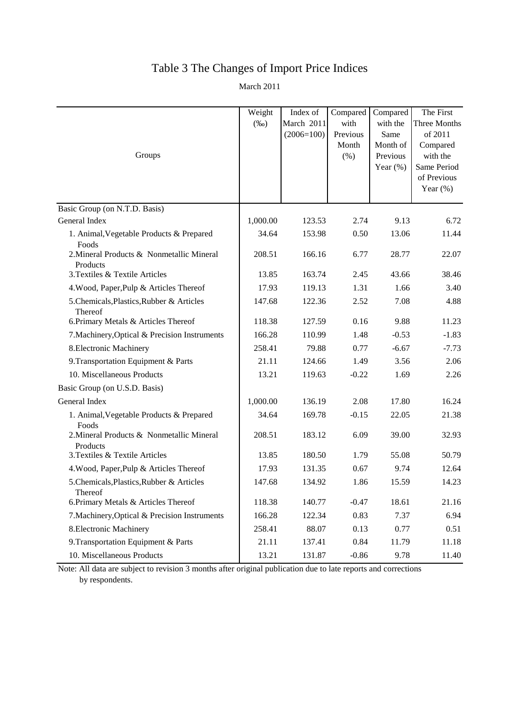# Table 3 The Changes of Import Price Indices

March 2011

| Groups                                                | Weight<br>$(\%0)$ | Index of<br>March 2011<br>$(2006=100)$ | Compared<br>with<br>Previous<br>Month<br>$(\% )$ | Compared<br>with the<br>Same<br>Month of<br>Previous<br>Year $(\%)$ | The First<br>Three Months<br>of 2011<br>Compared<br>with the<br>Same Period<br>of Previous<br>Year $(\%)$ |
|-------------------------------------------------------|-------------------|----------------------------------------|--------------------------------------------------|---------------------------------------------------------------------|-----------------------------------------------------------------------------------------------------------|
| Basic Group (on N.T.D. Basis)                         |                   |                                        |                                                  |                                                                     |                                                                                                           |
| General Index                                         | 1,000.00          | 123.53                                 | 2.74                                             | 9.13                                                                | 6.72                                                                                                      |
| 1. Animal, Vegetable Products & Prepared<br>Foods     | 34.64             | 153.98                                 | 0.50                                             | 13.06                                                               | 11.44                                                                                                     |
| 2. Mineral Products & Nonmetallic Mineral<br>Products | 208.51            | 166.16                                 | 6.77                                             | 28.77                                                               | 22.07                                                                                                     |
| 3. Textiles & Textile Articles                        | 13.85             | 163.74                                 | 2.45                                             | 43.66                                                               | 38.46                                                                                                     |
| 4. Wood, Paper, Pulp & Articles Thereof               | 17.93             | 119.13                                 | 1.31                                             | 1.66                                                                | 3.40                                                                                                      |
| 5.Chemicals, Plastics, Rubber & Articles<br>Thereof   | 147.68            | 122.36                                 | 2.52                                             | 7.08                                                                | 4.88                                                                                                      |
| 6. Primary Metals & Articles Thereof                  | 118.38            | 127.59                                 | 0.16                                             | 9.88                                                                | 11.23                                                                                                     |
| 7. Machinery, Optical & Precision Instruments         | 166.28            | 110.99                                 | 1.48                                             | $-0.53$                                                             | $-1.83$                                                                                                   |
| 8. Electronic Machinery                               | 258.41            | 79.88                                  | 0.77                                             | $-6.67$                                                             | $-7.73$                                                                                                   |
| 9. Transportation Equipment & Parts                   | 21.11             | 124.66                                 | 1.49                                             | 3.56                                                                | 2.06                                                                                                      |
| 10. Miscellaneous Products                            | 13.21             | 119.63                                 | $-0.22$                                          | 1.69                                                                | 2.26                                                                                                      |
| Basic Group (on U.S.D. Basis)                         |                   |                                        |                                                  |                                                                     |                                                                                                           |
| General Index                                         | 1,000.00          | 136.19                                 | 2.08                                             | 17.80                                                               | 16.24                                                                                                     |
| 1. Animal, Vegetable Products & Prepared<br>Foods     | 34.64             | 169.78                                 | $-0.15$                                          | 22.05                                                               | 21.38                                                                                                     |
| 2. Mineral Products & Nonmetallic Mineral<br>Products | 208.51            | 183.12                                 | 6.09                                             | 39.00                                                               | 32.93                                                                                                     |
| 3. Textiles & Textile Articles                        | 13.85             | 180.50                                 | 1.79                                             | 55.08                                                               | 50.79                                                                                                     |
| 4. Wood, Paper, Pulp & Articles Thereof               | 17.93             | 131.35                                 | 0.67                                             | 9.74                                                                | 12.64                                                                                                     |
| 5.Chemicals, Plastics, Rubber & Articles<br>Thereof   | 147.68            | 134.92                                 | 1.86                                             | 15.59                                                               | 14.23                                                                                                     |
| 6. Primary Metals & Articles Thereof                  | 118.38            | 140.77                                 | $-0.47$                                          | 18.61                                                               | 21.16                                                                                                     |
| 7. Machinery, Optical & Precision Instruments         | 166.28            | 122.34                                 | 0.83                                             | 7.37                                                                | 6.94                                                                                                      |
| 8. Electronic Machinery                               | 258.41            | 88.07                                  | 0.13                                             | 0.77                                                                | 0.51                                                                                                      |
| 9. Transportation Equipment & Parts                   | 21.11             | 137.41                                 | 0.84                                             | 11.79                                                               | 11.18                                                                                                     |
| 10. Miscellaneous Products                            | 13.21             | 131.87                                 | $-0.86$                                          | 9.78                                                                | 11.40                                                                                                     |

Note: All data are subject to revision 3 months after original publication due to late reports and corrections by respondents.